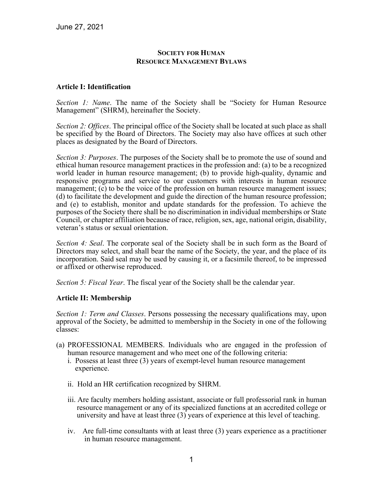### **SOCIETY FOR HUMAN RESOURCE MANAGEMENT BYLAWS**

### **Article I: Identification**

*Section 1: Name*. The name of the Society shall be "Society for Human Resource Management" (SHRM), hereinafter the Society.

*Section 2: Offices*. The principal office of the Society shall be located at such place as shall be specified by the Board of Directors. The Society may also have offices at such other places as designated by the Board of Directors.

*Section 3: Purposes*. The purposes of the Society shall be to promote the use of sound and ethical human resource management practices in the profession and: (a) to be a recognized world leader in human resource management; (b) to provide high-quality, dynamic and responsive programs and service to our customers with interests in human resource management; (c) to be the voice of the profession on human resource management issues; (d) to facilitate the development and guide the direction of the human resource profession; and (e) to establish, monitor and update standards for the profession. To achieve the purposes of the Society there shall be no discrimination in individual memberships or State Council, or chapter affiliation because of race, religion, sex, age, national origin, disability, veteran's status or sexual orientation.

*Section 4: Seal*. The corporate seal of the Society shall be in such form as the Board of Directors may select, and shall bear the name of the Society, the year, and the place of its incorporation. Said seal may be used by causing it, or a facsimile thereof, to be impressed or affixed or otherwise reproduced.

*Section 5: Fiscal Year*. The fiscal year of the Society shall be the calendar year.

## **Article II: Membership**

*Section 1: Term and Classes*. Persons possessing the necessary qualifications may, upon approval of the Society, be admitted to membership in the Society in one of the following classes:

- (a) PROFESSIONAL MEMBERS. Individuals who are engaged in the profession of human resource management and who meet one of the following criteria:
	- i. Possess at least three (3) years of exempt-level human resource management experience.
	- ii. Hold an HR certification recognized by SHRM.
	- iii. Are faculty members holding assistant, associate or full professorial rank in human resource management or any of its specialized functions at an accredited college or university and have at least three (3) years of experience at this level of teaching.
	- iv. Are full-time consultants with at least three (3) years experience as a practitioner in human resource management.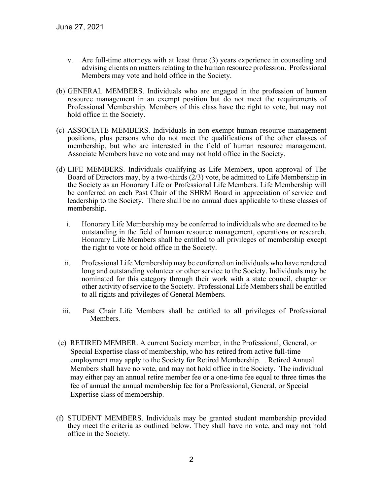- v. Are full-time attorneys with at least three (3) years experience in counseling and advising clients on matters relating to the human resource profession. Professional Members may vote and hold office in the Society.
- (b) GENERAL MEMBERS. Individuals who are engaged in the profession of human resource management in an exempt position but do not meet the requirements of Professional Membership. Members of this class have the right to vote, but may not hold office in the Society.
- (c) ASSOCIATE MEMBERS. Individuals in non-exempt human resource management positions, plus persons who do not meet the qualifications of the other classes of membership, but who are interested in the field of human resource management. Associate Members have no vote and may not hold office in the Society.
- (d) LIFE MEMBERS. Individuals qualifying as Life Members, upon approval of The Board of Directors may, by a two-thirds (2/3) vote, be admitted to Life Membership in the Society as an Honorary Life or Professional Life Members. Life Membership will be conferred on each Past Chair of the SHRM Board in appreciation of service and leadership to the Society. There shall be no annual dues applicable to these classes of membership.
	- i. Honorary Life Membership may be conferred to individuals who are deemed to be outstanding in the field of human resource management, operations or research. Honorary Life Members shall be entitled to all privileges of membership except the right to vote or hold office in the Society.
	- ii. Professional Life Membership may be conferred on individuals who have rendered long and outstanding volunteer or other service to the Society. Individuals may be nominated for this category through their work with a state council, chapter or other activity of service to the Society. Professional Life Members shall be entitled to all rights and privileges of General Members.
	- iii. Past Chair Life Members shall be entitled to all privileges of Professional Members.
- (e) RETIRED MEMBER. A current Society member, in the Professional, General, or Special Expertise class of membership, who has retired from active full-time employment may apply to the Society for Retired Membership. . Retired Annual Members shall have no vote, and may not hold office in the Society. The individual may either pay an annual retire member fee or a one-time fee equal to three times the fee of annual the annual membership fee for a Professional, General, or Special Expertise class of membership.
- (f) STUDENT MEMBERS. Individuals may be granted student membership provided they meet the criteria as outlined below. They shall have no vote, and may not hold office in the Society.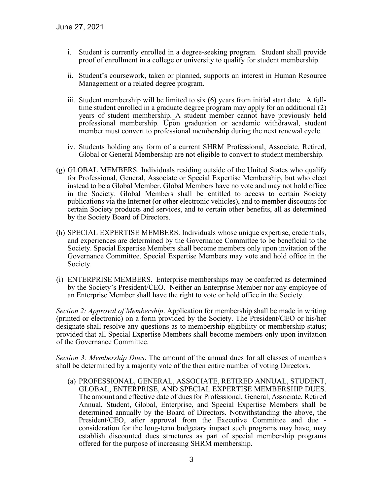- i. Student is currently enrolled in a degree-seeking program. Student shall provide proof of enrollment in a college or university to qualify for student membership.
- ii. Student's coursework, taken or planned, supports an interest in Human Resource Management or a related degree program.
- iii. Student membership will be limited to six (6) years from initial start date. A fulltime student enrolled in a graduate degree program may apply for an additional (2) years of student membership. A student member cannot have previously held professional membership. Upon graduation or academic withdrawal, student member must convert to professional membership during the next renewal cycle.
- iv. Students holding any form of a current SHRM Professional, Associate, Retired, Global or General Membership are not eligible to convert to student membership.
- (g) GLOBAL MEMBERS. Individuals residing outside of the United States who qualify for Professional, General, Associate or Special Expertise Membership, but who elect instead to be a Global Member. Global Members have no vote and may not hold office in the Society. Global Members shall be entitled to access to certain Society publications via the Internet (or other electronic vehicles), and to member discounts for certain Society products and services, and to certain other benefits, all as determined by the Society Board of Directors.
- (h) SPECIAL EXPERTISE MEMBERS. Individuals whose unique expertise, credentials, and experiences are determined by the Governance Committee to be beneficial to the Society. Special Expertise Members shall become members only upon invitation of the Governance Committee. Special Expertise Members may vote and hold office in the Society.
- (i) ENTERPRISE MEMBERS. Enterprise memberships may be conferred as determined by the Society's President/CEO. Neither an Enterprise Member nor any employee of an Enterprise Member shall have the right to vote or hold office in the Society.

*Section 2: Approval of Membership*. Application for membership shall be made in writing (printed or electronic) on a form provided by the Society. The President/CEO or his/her designate shall resolve any questions as to membership eligibility or membership status; provided that all Special Expertise Members shall become members only upon invitation of the Governance Committee.

*Section 3: Membership Dues*. The amount of the annual dues for all classes of members shall be determined by a majority vote of the then entire number of voting Directors.

(a) PROFESSIONAL, GENERAL, ASSOCIATE, RETIRED ANNUAL, STUDENT, GLOBAL, ENTERPRISE, AND SPECIAL EXPERTISE MEMBERSHIP DUES. The amount and effective date of dues for Professional, General, Associate, Retired Annual, Student, Global, Enterprise, and Special Expertise Members shall be determined annually by the Board of Directors. Notwithstanding the above, the President/CEO, after approval from the Executive Committee and due consideration for the long-term budgetary impact such programs may have, may establish discounted dues structures as part of special membership programs offered for the purpose of increasing SHRM membership.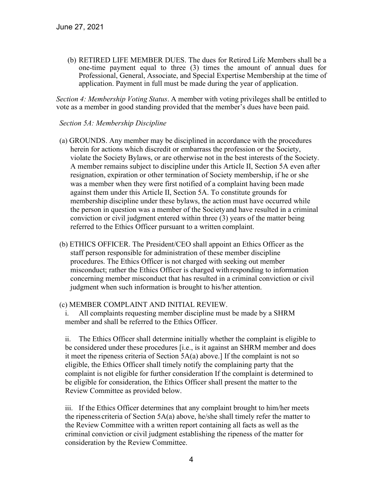(b) RETIRED LIFE MEMBER DUES. The dues for Retired Life Members shall be a one-time payment equal to three (3) times the amount of annual dues for Professional, General, Associate, and Special Expertise Membership at the time of application. Payment in full must be made during the year of application.

*Section 4: Membership Voting Status*. A member with voting privileges shall be entitled to vote as a member in good standing provided that the member's dues have been paid.

### *Section 5A: Membership Discipline*

- (a) GROUNDS. Any member may be disciplined in accordance with the procedures herein for actions which discredit or embarrass the profession or the Society, violate the Society Bylaws, or are otherwise not in the best interests of the Society. A member remains subject to discipline under this Article II, Section 5A even after resignation, expiration or other termination of Society membership, if he or she was a member when they were first notified of a complaint having been made against them under this Article II, Section 5A. To constitute grounds for membership discipline under these bylaws, the action must have occurred while the person in question was a member of the Societyand have resulted in a criminal conviction or civil judgment entered within three (3) years of the matter being referred to the Ethics Officer pursuant to a written complaint.
- (b) ETHICS OFFICER. The President/CEO shall appoint an Ethics Officer as the staff person responsible for administration of these member discipline procedures. The Ethics Officer is not charged with seeking out member misconduct; rather the Ethics Officer is charged withresponding to information concerning member misconduct that has resulted in a criminal conviction or civil judgment when such information is brought to his/her attention.

#### (c) MEMBER COMPLAINT AND INITIAL REVIEW.

All complaints requesting member discipline must be made by a SHRM member and shall be referred to the Ethics Officer.

ii. The Ethics Officer shall determine initially whether the complaint is eligible to be considered under these procedures [i.e., is it against an SHRM member and does it meet the ripeness criteria of Section 5A(a) above.] If the complaint is not so eligible, the Ethics Officer shall timely notify the complaining party that the complaint is not eligible for further consideration If the complaint is determined to be eligible for consideration, the Ethics Officer shall present the matter to the Review Committee as provided below.

iii. If the Ethics Officer determines that any complaint brought to him/her meets the ripenesscriteria of Section 5A(a) above, he/she shall timely refer the matter to the Review Committee with a written report containing all facts as well as the criminal conviction or civil judgment establishing the ripeness of the matter for consideration by the Review Committee.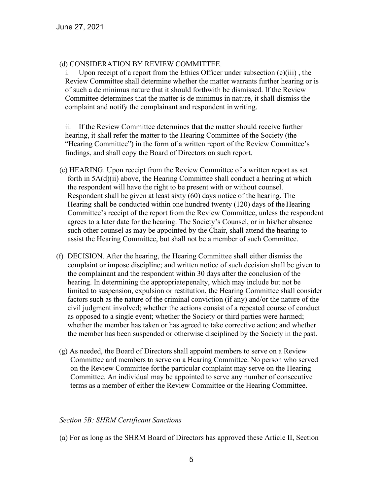## (d) CONSIDERATION BY REVIEW COMMITTEE.

i. Upon receipt of a report from the Ethics Officer under subsection (c)(iii) , the Review Committee shall determine whether the matter warrants further hearing or is of such a de minimus nature that it should forthwith be dismissed. If the Review Committee determines that the matter is de minimus in nature, it shall dismiss the complaint and notify the complainant and respondent inwriting.

ii. If the Review Committee determines that the matter should receive further hearing, it shall refer the matter to the Hearing Committee of the Society (the "Hearing Committee") in the form of a written report of the Review Committee's findings, and shall copy the Board of Directors on such report.

- (e) HEARING. Upon receipt from the Review Committee of a written report as set forth in 5A(d)(ii) above, the Hearing Committee shall conduct a hearing at which the respondent will have the right to be present with or without counsel. Respondent shall be given at least sixty (60) days notice of the hearing. The Hearing shall be conducted within one hundred twenty (120) days of the Hearing Committee's receipt of the report from the Review Committee, unless the respondent agrees to a later date for the hearing. The Society's Counsel, or in his/her absence such other counsel as may be appointed by the Chair, shall attend the hearing to assist the Hearing Committee, but shall not be a member of such Committee.
- (f) DECISION. After the hearing, the Hearing Committee shall either dismiss the complaint or impose discipline; and written notice of such decision shall be given to the complainant and the respondent within 30 days after the conclusion of the hearing. In determining the appropriatepenalty, which may include but not be limited to suspension, expulsion or restitution, the Hearing Committee shall consider factors such as the nature of the criminal conviction (if any) and/or the nature of the civil judgment involved; whether the actions consist of a repeated course of conduct as opposed to a single event; whether the Society or third parties were harmed; whether the member has taken or has agreed to take corrective action; and whether the member has been suspended or otherwise disciplined by the Society in the past.
- (g) As needed, the Board of Directors shall appoint members to serve on a Review Committee and members to serve on a Hearing Committee. No person who served on the Review Committee forthe particular complaint may serve on the Hearing Committee. An individual may be appointed to serve any number of consecutive terms as a member of either the Review Committee or the Hearing Committee.

## *Section 5B: SHRM Certificant Sanctions*

(a) For as long as the SHRM Board of Directors has approved these Article II, Section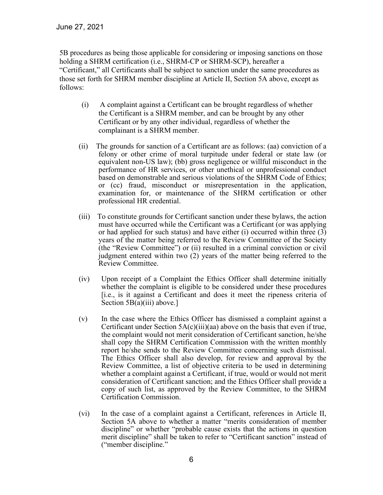5B procedures as being those applicable for considering or imposing sanctions on those holding a SHRM certification (i.e., SHRM-CP or SHRM-SCP), hereafter a "Certificant," all Certificants shall be subject to sanction under the same procedures as those set forth for SHRM member discipline at Article II, Section 5A above, except as follows:

- (i) A complaint against a Certificant can be brought regardless of whether the Certificant is a SHRM member, and can be brought by any other Certificant or by any other individual, regardless of whether the complainant is a SHRM member.
- (ii) The grounds for sanction of a Certificant are as follows: (aa) conviction of a felony or other crime of moral turpitude under federal or state law (or equivalent non-US law); (bb) gross negligence or willful misconduct in the performance of HR services, or other unethical or unprofessional conduct based on demonstrable and serious violations of the SHRM Code of Ethics; or (cc) fraud, misconduct or misrepresentation in the application, examination for, or maintenance of the SHRM certification or other professional HR credential.
- (iii) To constitute grounds for Certificant sanction under these bylaws, the action must have occurred while the Certificant was a Certificant (or was applying or had applied for such status) and have either (i) occurred within three (3) years of the matter being referred to the Review Committee of the Society (the "Review Committee") or (ii) resulted in a criminal conviction or civil judgment entered within two (2) years of the matter being referred to the Review Committee.
- (iv) Upon receipt of a Complaint the Ethics Officer shall determine initially whether the complaint is eligible to be considered under these procedures [i.e., is it against a Certificant and does it meet the ripeness criteria of Section  $5B(a)(iii)$  above.]
- (v) In the case where the Ethics Officer has dismissed a complaint against a Certificant under Section 5A(c)(iii)(aa) above on the basis that even if true, the complaint would not merit consideration of Certificant sanction, he/she shall copy the SHRM Certification Commission with the written monthly report he/she sends to the Review Committee concerning such dismissal. The Ethics Officer shall also develop, for review and approval by the Review Committee, a list of objective criteria to be used in determining whether a complaint against a Certificant, if true, would or would not merit consideration of Certificant sanction; and the Ethics Officer shall provide a copy of such list, as approved by the Review Committee, to the SHRM Certification Commission.
- (vi) In the case of a complaint against a Certificant, references in Article II, Section 5A above to whether a matter "merits consideration of member discipline" or whether "probable cause exists that the actions in question merit discipline" shall be taken to refer to "Certificant sanction" instead of ("member discipline."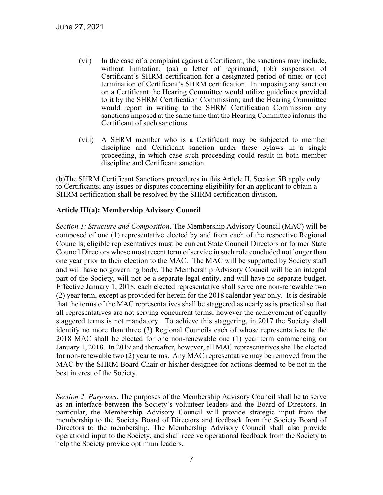- (vii) In the case of a complaint against a Certificant, the sanctions may include, without limitation; (aa) a letter of reprimand; (bb) suspension of Certificant's SHRM certification for a designated period of time; or (cc) termination of Certificant's SHRM certification. In imposing any sanction on a Certificant the Hearing Committee would utilize guidelines provided to it by the SHRM Certification Commission; and the Hearing Committee would report in writing to the SHRM Certification Commission any sanctions imposed at the same time that the Hearing Committee informs the Certificant of such sanctions.
- (viii) A SHRM member who is a Certificant may be subjected to member discipline and Certificant sanction under these bylaws in a single proceeding, in which case such proceeding could result in both member discipline and Certificant sanction.

(b)The SHRM Certificant Sanctions procedures in this Article II, Section 5B apply only to Certificants; any issues or disputes concerning eligibility for an applicant to obtain a SHRM certification shall be resolved by the SHRM certification division.

## **Article III(a): Membership Advisory Council**

*Section 1: Structure and Composition*. The Membership Advisory Council (MAC) will be composed of one (1) representative elected by and from each of the respective Regional Councils; eligible representatives must be current State Council Directors or former State Council Directors whose most recent term of service in such role concluded not longer than one year prior to their election to the MAC. The MAC will be supported by Society staff and will have no governing body. The Membership Advisory Council will be an integral part of the Society, will not be a separate legal entity, and will have no separate budget. Effective January 1, 2018, each elected representative shall serve one non-renewable two (2) year term, except as provided for herein for the 2018 calendar year only. It is desirable that the terms of the MAC representatives shall be staggered as nearly as is practical so that all representatives are not serving concurrent terms, however the achievement of equally staggered terms is not mandatory. To achieve this staggering, in 2017 the Society shall identify no more than three (3) Regional Councils each of whose representatives to the 2018 MAC shall be elected for one non-renewable one (1) year term commencing on January 1, 2018. In 2019 and thereafter, however, all MAC representatives shall be elected for non-renewable two (2) year terms. Any MAC representative may be removed from the MAC by the SHRM Board Chair or his/her designee for actions deemed to be not in the best interest of the Society.

*Section 2: Purposes*. The purposes of the Membership Advisory Council shall be to serve as an interface between the Society's volunteer leaders and the Board of Directors. In particular, the Membership Advisory Council will provide strategic input from the membership to the Society Board of Directors and feedback from the Society Board of Directors to the membership. The Membership Advisory Council shall also provide operational input to the Society, and shall receive operational feedback from the Society to help the Society provide optimum leaders.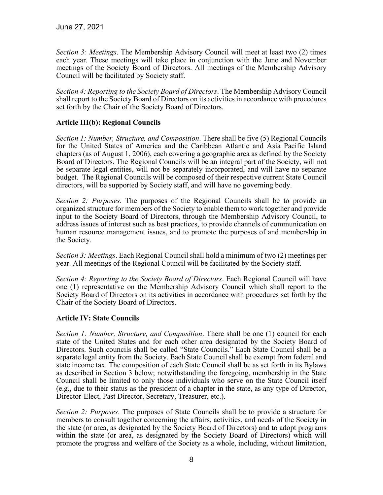*Section 3: Meetings*. The Membership Advisory Council will meet at least two (2) times each year. These meetings will take place in conjunction with the June and November meetings of the Society Board of Directors. All meetings of the Membership Advisory Council will be facilitated by Society staff.

*Section 4: Reporting to the Society Board of Directors*. The Membership Advisory Council shall report to the Society Board of Directors on its activities in accordance with procedures set forth by the Chair of the Society Board of Directors.

## **Article III(b): Regional Councils**

*Section 1: Number, Structure, and Composition*. There shall be five (5) Regional Councils for the United States of America and the Caribbean Atlantic and Asia Pacific Island chapters (as of August 1, 2006), each covering a geographic area as defined by the Society Board of Directors. The Regional Councils will be an integral part of the Society, will not be separate legal entities, will not be separately incorporated, and will have no separate budget. The Regional Councils will be composed of their respective current State Council directors, will be supported by Society staff, and will have no governing body.

*Section 2: Purposes*. The purposes of the Regional Councils shall be to provide an organized structure for members of the Society to enable them to work together and provide input to the Society Board of Directors, through the Membership Advisory Council, to address issues of interest such as best practices, to provide channels of communication on human resource management issues, and to promote the purposes of and membership in the Society.

*Section 3: Meetings*. Each Regional Council shall hold a minimum of two (2) meetings per year. All meetings of the Regional Council will be facilitated by the Society staff.

*Section 4: Reporting to the Society Board of Directors*. Each Regional Council will have one (1) representative on the Membership Advisory Council which shall report to the Society Board of Directors on its activities in accordance with procedures set forth by the Chair of the Society Board of Directors.

## **Article IV: State Councils**

*Section 1: Number, Structure, and Composition*. There shall be one (1) council for each state of the United States and for each other area designated by the Society Board of Directors. Such councils shall be called "State Councils." Each State Council shall be a separate legal entity from the Society. Each State Council shall be exempt from federal and state income tax. The composition of each State Council shall be as set forth in its Bylaws as described in Section 3 below; notwithstanding the foregoing, membership in the State Council shall be limited to only those individuals who serve on the State Council itself (e.g., due to their status as the president of a chapter in the state, as any type of Director, Director-Elect, Past Director, Secretary, Treasurer, etc.).

*Section 2: Purposes*. The purposes of State Councils shall be to provide a structure for members to consult together concerning the affairs, activities, and needs of the Society in the state (or area, as designated by the Society Board of Directors) and to adopt programs within the state (or area, as designated by the Society Board of Directors) which will promote the progress and welfare of the Society as a whole, including, without limitation,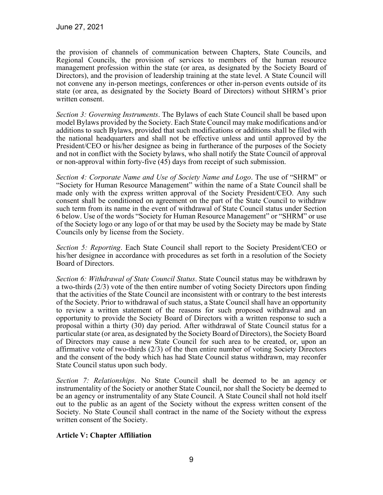the provision of channels of communication between Chapters, State Councils, and Regional Councils, the provision of services to members of the human resource management profession within the state (or area, as designated by the Society Board of Directors), and the provision of leadership training at the state level. A State Council will not convene any in-person meetings, conferences or other in-person events outside of its state (or area, as designated by the Society Board of Directors) without SHRM's prior written consent.

*Section 3: Governing Instruments*. The Bylaws of each State Council shall be based upon model Bylaws provided by the Society. Each State Council may make modifications and/or additions to such Bylaws, provided that such modifications or additions shall be filed with the national headquarters and shall not be effective unless and until approved by the President/CEO or his/her designee as being in furtherance of the purposes of the Society and not in conflict with the Society bylaws, who shall notify the State Council of approval or non-approval within forty-five (45) days from receipt of such submission.

*Section 4: Corporate Name and Use of Society Name and Logo*. The use of "SHRM" or "Society for Human Resource Management" within the name of a State Council shall be made only with the express written approval of the Society President/CEO. Any such consent shall be conditioned on agreement on the part of the State Council to withdraw such term from its name in the event of withdrawal of State Council status under Section 6 below. Use of the words "Society for Human Resource Management" or "SHRM" or use of the Society logo or any logo of or that may be used by the Society may be made by State Councils only by license from the Society.

*Section 5: Reporting*. Each State Council shall report to the Society President/CEO or his/her designee in accordance with procedures as set forth in a resolution of the Society Board of Directors.

*Section 6: Withdrawal of State Council Status*. State Council status may be withdrawn by a two-thirds (2/3) vote of the then entire number of voting Society Directors upon finding that the activities of the State Council are inconsistent with or contrary to the best interests of the Society. Prior to withdrawal of such status, a State Council shall have an opportunity to review a written statement of the reasons for such proposed withdrawal and an opportunity to provide the Society Board of Directors with a written response to such a proposal within a thirty (30) day period. After withdrawal of State Council status for a particular state (or area, as designated by the Society Board of Directors), the Society Board of Directors may cause a new State Council for such area to be created, or, upon an affirmative vote of two-thirds (2/3) of the then entire number of voting Society Directors and the consent of the body which has had State Council status withdrawn, may reconfer State Council status upon such body.

*Section 7: Relationships*. No State Council shall be deemed to be an agency or instrumentality of the Society or another State Council, nor shall the Society be deemed to be an agency or instrumentality of any State Council. A State Council shall not hold itself out to the public as an agent of the Society without the express written consent of the Society. No State Council shall contract in the name of the Society without the express written consent of the Society.

# **Article V: Chapter Affiliation**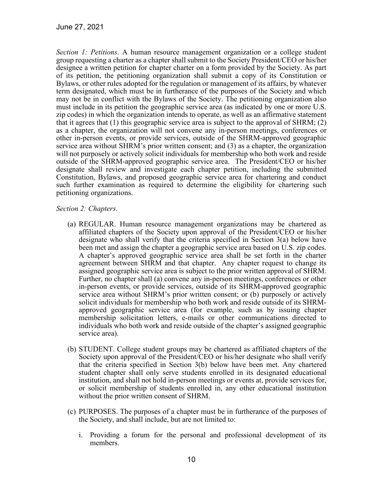*Section 1: Petitions*. A human resource management organization or a college student group requesting a charter as a chapter shall submit to the Society President/CEO or his/her designee a written petition for chapter charter on a form provided by the Society. As part of its petition, the petitioning organization shall submit a copy of its Constitution or Bylaws, or other rules adopted for the regulation or management of its affairs, by whatever term designated, which must be in furtherance of the purposes of the Society and which may not be in conflict with the Bylaws of the Society. The petitioning organization also must include in its petition the geographic service area (as indicated by one or more U.S. zip codes) in which the organization intends to operate, as well as an affirmative statement that it agrees that  $(1)$  this geographic service area is subject to the approval of SHRM;  $(2)$ as a chapter, the organization will not convene any in-person meetings, conferences or other in-person events, or provide services, outside of the SHRM-approved geographic service area without SHRM's prior written consent; and (3) as a chapter, the organization will not purposely or actively solicit individuals for membership who both work and reside outside of the SHRM-approved geographic service area. The President/CEO or his/her designate shall review and investigate each chapter petition, including the submitted Constitution, Bylaws, and proposed geographic service area for chartering and conduct such further examination as required to determine the eligibility for chartering such petitioning organizations.

#### *Section 2: Chapters*.

- (a) REGULAR. Human resource management organizations may be chartered as affiliated chapters of the Society upon approval of the President/CEO or his/her designate who shall verify that the criteria specified in Section 3(a) below have been met and assign the chapter a geographic service area based on U.S. zip codes. A chapter's approved geographic service area shall be set forth in the charter agreement between SHRM and that chapter. Any chapter request to change its assigned geographic service area is subject to the prior written approval of SHRM. Further, no chapter shall (a) convene any in-person meetings, conferences or other in-person events, or provide services, outside of its SHRM-approved geographic service area without SHRM's prior written consent; or (b) purposely or actively solicit individuals for membership who both work and reside outside of its SHRMapproved geographic service area (for example, such as by issuing chapter membership solicitation letters, e-mails or other communications directed to individuals who both work and reside outside of the chapter's assigned geographic service area).
- (b) STUDENT. College student groups may be chartered as affiliated chapters of the Society upon approval of the President/CEO or his/her designate who shall verify that the criteria specified in Section 3(b) below have been met. Any chartered student chapter shall only serve students enrolled in its designated educational institution, and shall not hold in-person meetings or events at, provide services for, or solicit membership of students enrolled in, any other educational institution without the prior written consent of SHRM.
- (c) PURPOSES. The purposes of a chapter must be in furtherance of the purposes of the Society, and shall include, but are not limited to:
	- i. Providing a forum for the personal and professional development of its members.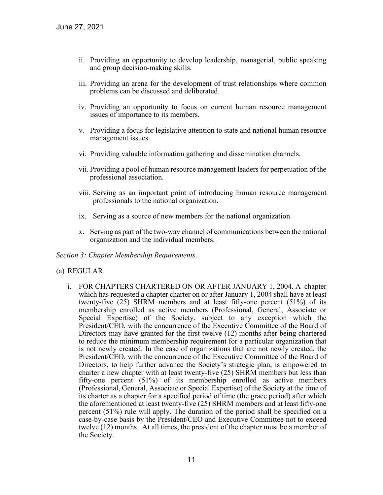- ii. Providing an opportunity to develop leadership, managerial, public speaking and group decision-making skills.
- iii. Providing an arena for the development of trust relationships where common problems can be discussed and deliberated.
- iv. Providing an opportunity to focus on current human resource management issues of importance to its members.
- v. Providing a focus for legislative attention to state and national human resource management issues.
- vi. Providing valuable information gathering and dissemination channels.
- vii. Providing a pool of human resource management leaders for perpetuation of the professional association.
- viii. Serving as an important point of introducing human resource management professionals to the national organization.
- ix. Serving as a source of new members for the national organization.
- x. Serving as part of the two-way channel of communications between the national organization and the individual members.

#### *Section 3: Chapter Membership Requirements*.

#### (a) REGULAR.

i. FOR CHAPTERS CHARTERED ON OR AFTER JANUARY 1, 2004. A chapter which has requested a chapter charter on or after January 1, 2004 shall have at least twenty-five (25) SHRM members and at least fifty-one percent (51%) of its membership enrolled as active members (Professional, General, Associate or Special Expertise) of the Society, subject to any exception which the President/CEO, with the concurrence of the Executive Committee of the Board of Directors may have granted for the first twelve (12) months after being chartered to reduce the minimum membership requirement for a particular organization that is not newly created. In the case of organizations that are not newly created, the President/CEO, with the concurrence of the Executive Committee of the Board of Directors, to help further advance the Society's strategic plan, is empowered to charter a new chapter with at least twenty-five (25) SHRM members but less than fifty-one percent (51%) of its membership enrolled as active members (Professional, General, Associate or Special Expertise) of the Society at the time of its charter as a chapter for a specified period of time (the grace period) after which the aforementioned at least twenty-five (25) SHRM members and at least fifty-one percent (51%) rule will apply. The duration of the period shall be specified on a case-by-case basis by the President/CEO and Executive Committee not to exceed twelve (12) months. At all times, the president of the chapter must be a member of the Society.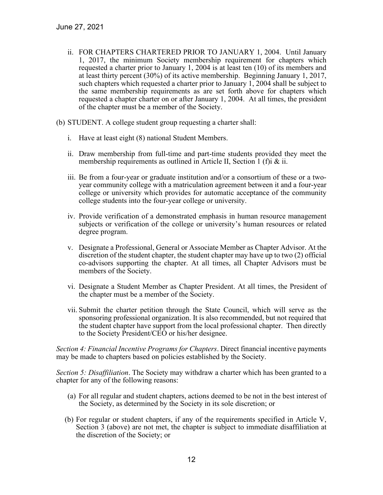- ii. FOR CHAPTERS CHARTERED PRIOR TO JANUARY 1, 2004. Until January 1, 2017, the minimum Society membership requirement for chapters which requested a charter prior to January 1, 2004 is at least ten (10) of its members and at least thirty percent (30%) of its active membership. Beginning January 1, 2017, such chapters which requested a charter prior to January 1, 2004 shall be subject to the same membership requirements as are set forth above for chapters which requested a chapter charter on or after January 1, 2004. At all times, the president of the chapter must be a member of the Society.
- (b) STUDENT. A college student group requesting a charter shall:
	- i. Have at least eight (8) national Student Members.
	- ii. Draw membership from full-time and part-time students provided they meet the membership requirements as outlined in Article II, Section 1 (f)i & ii.
	- iii. Be from a four-year or graduate institution and/or a consortium of these or a twoyear community college with a matriculation agreement between it and a four-year college or university which provides for automatic acceptance of the community college students into the four-year college or university.
	- iv. Provide verification of a demonstrated emphasis in human resource management subjects or verification of the college or university's human resources or related degree program.
	- v. Designate a Professional, General or Associate Member as Chapter Advisor. At the discretion of the student chapter, the student chapter may have up to two (2) official co-advisors supporting the chapter. At all times, all Chapter Advisors must be members of the Society.
	- vi. Designate a Student Member as Chapter President. At all times, the President of the chapter must be a member of the Society.
	- vii. Submit the charter petition through the State Council, which will serve as the sponsoring professional organization. It is also recommended, but not required that the student chapter have support from the local professional chapter. Then directly to the Society President/CEO or his/her designee.

*Section 4: Financial Incentive Programs for Chapters*. Direct financial incentive payments may be made to chapters based on policies established by the Society.

*Section 5: Disaffiliation*. The Society may withdraw a charter which has been granted to a chapter for any of the following reasons:

- (a) For all regular and student chapters, actions deemed to be not in the best interest of the Society, as determined by the Society in its sole discretion; or
- (b) For regular or student chapters, if any of the requirements specified in Article V, Section 3 (above) are not met, the chapter is subject to immediate disaffiliation at the discretion of the Society; or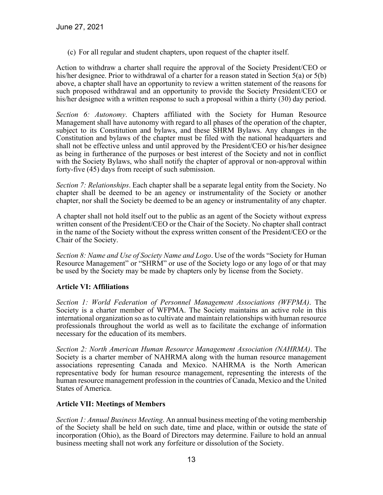(c) For all regular and student chapters, upon request of the chapter itself.

Action to withdraw a charter shall require the approval of the Society President/CEO or his/her designee. Prior to withdrawal of a charter for a reason stated in Section 5(a) or 5(b) above, a chapter shall have an opportunity to review a written statement of the reasons for such proposed withdrawal and an opportunity to provide the Society President/CEO or his/her designee with a written response to such a proposal within a thirty (30) day period.

*Section 6: Autonomy*. Chapters affiliated with the Society for Human Resource Management shall have autonomy with regard to all phases of the operation of the chapter, subject to its Constitution and bylaws, and these SHRM Bylaws. Any changes in the Constitution and bylaws of the chapter must be filed with the national headquarters and shall not be effective unless and until approved by the President/CEO or his/her designee as being in furtherance of the purposes or best interest of the Society and not in conflict with the Society Bylaws, who shall notify the chapter of approval or non-approval within forty-five (45) days from receipt of such submission.

*Section 7: Relationships*. Each chapter shall be a separate legal entity from the Society. No chapter shall be deemed to be an agency or instrumentality of the Society or another chapter, nor shall the Society be deemed to be an agency or instrumentality of any chapter.

A chapter shall not hold itself out to the public as an agent of the Society without express written consent of the President/CEO or the Chair of the Society. No chapter shall contract in the name of the Society without the express written consent of the President/CEO or the Chair of the Society.

*Section 8: Name and Use of Society Name and Logo*. Use of the words "Society for Human Resource Management" or "SHRM" or use of the Society logo or any logo of or that may be used by the Society may be made by chapters only by license from the Society.

# **Article VI: Affiliations**

*Section 1: World Federation of Personnel Management Associations (WFPMA)*. The Society is a charter member of WFPMA. The Society maintains an active role in this international organization so as to cultivate and maintain relationships with human resource professionals throughout the world as well as to facilitate the exchange of information necessary for the education of its members.

*Section 2: North American Human Resource Management Association (NAHRMA)*. The Society is a charter member of NAHRMA along with the human resource management associations representing Canada and Mexico. NAHRMA is the North American representative body for human resource management, representing the interests of the human resource management profession in the countries of Canada, Mexico and the United States of America.

## **Article VII: Meetings of Members**

*Section 1: Annual Business Meeting*. An annual business meeting of the voting membership of the Society shall be held on such date, time and place, within or outside the state of incorporation (Ohio), as the Board of Directors may determine. Failure to hold an annual business meeting shall not work any forfeiture or dissolution of the Society.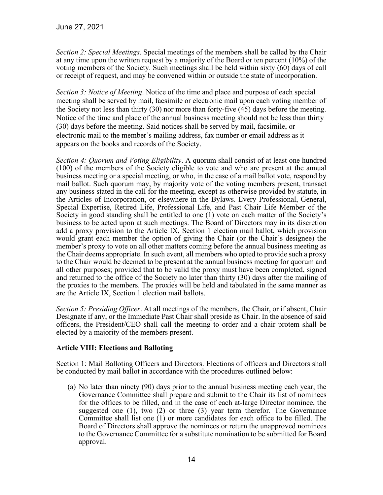*Section 2: Special Meetings*. Special meetings of the members shall be called by the Chair at any time upon the written request by a majority of the Board or ten percent (10%) of the voting members of the Society. Such meetings shall be held within sixty (60) days of call or receipt of request, and may be convened within or outside the state of incorporation.

*Section 3: Notice of Meeting*. Notice of the time and place and purpose of each special meeting shall be served by mail, facsimile or electronic mail upon each voting member of the Society not less than thirty (30) nor more than forty-five (45) days before the meeting. Notice of the time and place of the annual business meeting should not be less than thirty (30) days before the meeting. Said notices shall be served by mail, facsimile, or electronic mail to the member's mailing address, fax number or email address as it appears on the books and records of the Society.

*Section 4: Quorum and Voting Eligibility*. A quorum shall consist of at least one hundred (100) of the members of the Society eligible to vote and who are present at the annual business meeting or a special meeting, or who, in the case of a mail ballot vote, respond by mail ballot. Such quorum may, by majority vote of the voting members present, transact any business stated in the call for the meeting, except as otherwise provided by statute, in the Articles of Incorporation, or elsewhere in the Bylaws. Every Professional, General, Special Expertise, Retired Life, Professional Life, and Past Chair Life Member of the Society in good standing shall be entitled to one (1) vote on each matter of the Society's business to be acted upon at such meetings. The Board of Directors may in its discretion add a proxy provision to the Article IX, Section 1 election mail ballot, which provision would grant each member the option of giving the Chair (or the Chair's designee) the member's proxy to vote on all other matters coming before the annual business meeting as the Chair deems appropriate. In such event, all members who opted to provide such a proxy to the Chair would be deemed to be present at the annual business meeting for quorum and all other purposes; provided that to be valid the proxy must have been completed, signed and returned to the office of the Society no later than thirty (30) days after the mailing of the proxies to the members. The proxies will be held and tabulated in the same manner as are the Article IX, Section 1 election mail ballots.

*Section 5: Presiding Officer*. At all meetings of the members, the Chair, or if absent, Chair Designate if any, or the Immediate Past Chair shall preside as Chair. In the absence of said officers, the President/CEO shall call the meeting to order and a chair protem shall be elected by a majority of the members present.

# **Article VIII: Elections and Balloting**

Section 1: Mail Balloting Officers and Directors. Elections of officers and Directors shall be conducted by mail ballot in accordance with the procedures outlined below:

(a) No later than ninety (90) days prior to the annual business meeting each year, the Governance Committee shall prepare and submit to the Chair its list of nominees for the offices to be filled, and in the case of each at-large Director nominee, the suggested one  $(1)$ , two  $(2)$  or three  $(3)$  year term therefor. The Governance Committee shall list one (1) or more candidates for each office to be filled. The Board of Directors shall approve the nominees or return the unapproved nominees to the Governance Committee for a substitute nomination to be submitted for Board approval.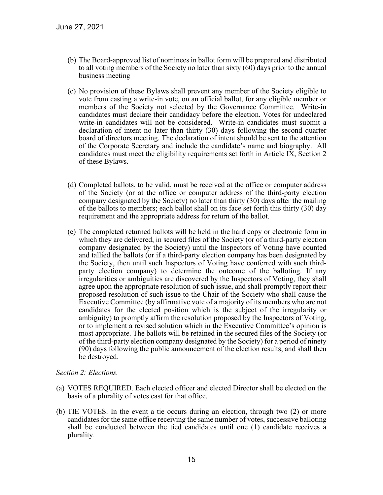- (b) The Board-approved list of nominees in ballot form will be prepared and distributed to all voting members of the Society no later than sixty (60) days prior to the annual business meeting
- (c) No provision of these Bylaws shall prevent any member of the Society eligible to vote from casting a write-in vote, on an official ballot, for any eligible member or members of the Society not selected by the Governance Committee. Write-in candidates must declare their candidacy before the election. Votes for undeclared write-in candidates will not be considered. Write-in candidates must submit a declaration of intent no later than thirty (30) days following the second quarter board of directors meeting. The declaration of intent should be sent to the attention of the Corporate Secretary and include the candidate's name and biography. All candidates must meet the eligibility requirements set forth in Article IX, Section 2 of these Bylaws.
- (d) Completed ballots, to be valid, must be received at the office or computer address of the Society (or at the office or computer address of the third-party election company designated by the Society) no later than thirty (30) days after the mailing of the ballots to members; each ballot shall on its face set forth this thirty (30) day requirement and the appropriate address for return of the ballot.
- (e) The completed returned ballots will be held in the hard copy or electronic form in which they are delivered, in secured files of the Society (or of a third-party election company designated by the Society) until the Inspectors of Voting have counted and tallied the ballots (or if a third-party election company has been designated by the Society, then until such Inspectors of Voting have conferred with such thirdparty election company) to determine the outcome of the balloting. If any irregularities or ambiguities are discovered by the Inspectors of Voting, they shall agree upon the appropriate resolution of such issue, and shall promptly report their proposed resolution of such issue to the Chair of the Society who shall cause the Executive Committee (by affirmative vote of a majority of its members who are not candidates for the elected position which is the subject of the irregularity or ambiguity) to promptly affirm the resolution proposed by the Inspectors of Voting, or to implement a revised solution which in the Executive Committee's opinion is most appropriate. The ballots will be retained in the secured files of the Society (or of the third-party election company designated by the Society) for a period of ninety (90) days following the public announcement of the election results, and shall then be destroyed.

#### *Section 2: Elections.*

- (a) VOTES REQUIRED. Each elected officer and elected Director shall be elected on the basis of a plurality of votes cast for that office.
- (b) TIE VOTES. In the event a tie occurs during an election, through two (2) or more candidates for the same office receiving the same number of votes, successive balloting shall be conducted between the tied candidates until one (1) candidate receives a plurality.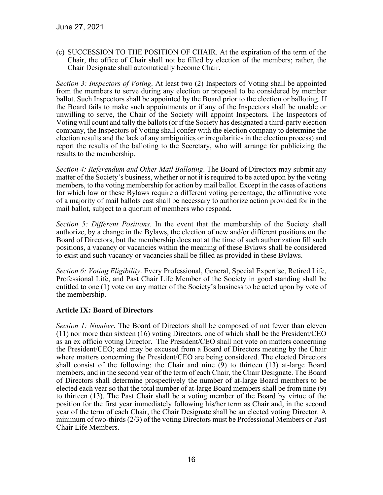(c) SUCCESSION TO THE POSITION OF CHAIR. At the expiration of the term of the Chair, the office of Chair shall not be filled by election of the members; rather, the Chair Designate shall automatically become Chair.

*Section 3: Inspectors of Voting*. At least two (2) Inspectors of Voting shall be appointed from the members to serve during any election or proposal to be considered by member ballot. Such Inspectors shall be appointed by the Board prior to the election or balloting. If the Board fails to make such appointments or if any of the Inspectors shall be unable or unwilling to serve, the Chair of the Society will appoint Inspectors. The Inspectors of Voting will count and tally the ballots (or if the Society has designated a third-party election company, the Inspectors of Voting shall confer with the election company to determine the election results and the lack of any ambiguities or irregularities in the election process) and report the results of the balloting to the Secretary, who will arrange for publicizing the results to the membership.

*Section 4: Referendum and Other Mail Balloting*. The Board of Directors may submit any matter of the Society's business, whether or not it is required to be acted upon by the voting members, to the voting membership for action by mail ballot. Except in the cases of actions for which law or these Bylaws require a different voting percentage, the affirmative vote of a majority of mail ballots cast shall be necessary to authorize action provided for in the mail ballot, subject to a quorum of members who respond.

*Section 5: Different Positions*. In the event that the membership of the Society shall authorize, by a change in the Bylaws, the election of new and/or different positions on the Board of Directors, but the membership does not at the time of such authorization fill such positions, a vacancy or vacancies within the meaning of these Bylaws shall be considered to exist and such vacancy or vacancies shall be filled as provided in these Bylaws.

*Section 6: Voting Eligibility*. Every Professional, General, Special Expertise, Retired Life, Professional Life, and Past Chair Life Member of the Society in good standing shall be entitled to one (1) vote on any matter of the Society's business to be acted upon by vote of the membership.

## **Article IX: Board of Directors**

*Section 1: Number*. The Board of Directors shall be composed of not fewer than eleven (11) nor more than sixteen (16) voting Directors, one of which shall be the President/CEO as an ex officio voting Director. The President/CEO shall not vote on matters concerning the President/CEO; and may be excused from a Board of Directors meeting by the Chair where matters concerning the President/CEO are being considered. The elected Directors shall consist of the following: the Chair and nine (9) to thirteen (13) at-large Board members, and in the second year of the term of each Chair, the Chair Designate. The Board of Directors shall determine prospectively the number of at-large Board members to be elected each year so that the total number of at-large Board members shall be from nine (9) to thirteen (13). The Past Chair shall be a voting member of the Board by virtue of the position for the first year immediately following his/her term as Chair and, in the second year of the term of each Chair, the Chair Designate shall be an elected voting Director. A minimum of two-thirds (2/3) of the voting Directors must be Professional Members or Past Chair Life Members.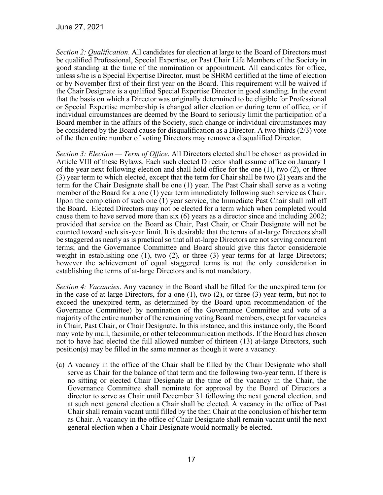*Section 2: Qualification*. All candidates for election at large to the Board of Directors must be qualified Professional, Special Expertise, or Past Chair Life Members of the Society in good standing at the time of the nomination or appointment. All candidates for office, unless s/he is a Special Expertise Director, must be SHRM certified at the time of election or by November first of their first year on the Board. This requirement will be waived if the Chair Designate is a qualified Special Expertise Director in good standing. In the event that the basis on which a Director was originally determined to be eligible for Professional or Special Expertise membership is changed after election or during term of office, or if individual circumstances are deemed by the Board to seriously limit the participation of a Board member in the affairs of the Society, such change or individual circumstances may be considered by the Board cause for disqualification as a Director. A two-thirds (2/3) vote of the then entire number of voting Directors may remove a disqualified Director.

*Section 3: Election — Term of Office*. All Directors elected shall be chosen as provided in Article VIII of these Bylaws. Each such elected Director shall assume office on January 1 of the year next following election and shall hold office for the one (1), two (2), or three (3) year term to which elected, except that the term for Chair shall be two (2) years and the term for the Chair Designate shall be one (1) year. The Past Chair shall serve as a voting member of the Board for a one (1) year term immediately following such service as Chair. Upon the completion of such one (1) year service, the Immediate Past Chair shall roll off the Board. Elected Directors may not be elected for a term which when completed would cause them to have served more than six (6) years as a director since and including 2002; provided that service on the Board as Chair, Past Chair, or Chair Designate will not be counted toward such six-year limit. It is desirable that the terms of at-large Directors shall be staggered as nearly as is practical so that all at-large Directors are not serving concurrent terms; and the Governance Committee and Board should give this factor considerable weight in establishing one  $(1)$ , two  $(2)$ , or three  $(3)$  year terms for at-large Directors; however the achievement of equal staggered terms is not the only consideration in establishing the terms of at-large Directors and is not mandatory.

*Section 4: Vacancies*. Any vacancy in the Board shall be filled for the unexpired term (or in the case of at-large Directors, for a one (1), two (2), or three (3) year term, but not to exceed the unexpired term, as determined by the Board upon recommendation of the Governance Committee) by nomination of the Governance Committee and vote of a majority of the entire number of the remaining voting Board members, except for vacancies in Chair, Past Chair, or Chair Designate. In this instance, and this instance only, the Board may vote by mail, facsimile, or other telecommunication methods. If the Board has chosen not to have had elected the full allowed number of thirteen (13) at-large Directors, such position(s) may be filled in the same manner as though it were a vacancy.

(a) A vacancy in the office of the Chair shall be filled by the Chair Designate who shall serve as Chair for the balance of that term and the following two-year term. If there is no sitting or elected Chair Designate at the time of the vacancy in the Chair, the Governance Committee shall nominate for approval by the Board of Directors a director to serve as Chair until December 31 following the next general election, and at such next general election a Chair shall be elected. A vacancy in the office of Past Chair shall remain vacant until filled by the then Chair at the conclusion of his/her term as Chair. A vacancy in the office of Chair Designate shall remain vacant until the next general election when a Chair Designate would normally be elected.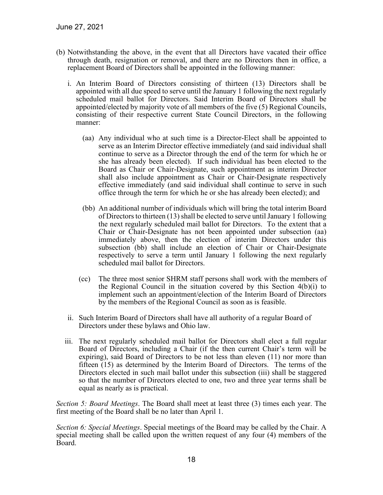- (b) Notwithstanding the above, in the event that all Directors have vacated their office through death, resignation or removal, and there are no Directors then in office, a replacement Board of Directors shall be appointed in the following manner:
	- i. An Interim Board of Directors consisting of thirteen (13) Directors shall be appointed with all due speed to serve until the January 1 following the next regularly scheduled mail ballot for Directors. Said Interim Board of Directors shall be appointed/elected by majority vote of all members of the five (5) Regional Councils, consisting of their respective current State Council Directors, in the following manner:
		- (aa) Any individual who at such time is a Director-Elect shall be appointed to serve as an Interim Director effective immediately (and said individual shall continue to serve as a Director through the end of the term for which he or she has already been elected). If such individual has been elected to the Board as Chair or Chair-Designate, such appointment as interim Director shall also include appointment as Chair or Chair-Designate respectively effective immediately (and said individual shall continue to serve in such office through the term for which he or she has already been elected); and
		- (bb) An additional number of individuals which will bring the total interim Board of Directors to thirteen (13) shall be elected to serve until January 1 following the next regularly scheduled mail ballot for Directors. To the extent that a Chair or Chair-Designate has not been appointed under subsection (aa) immediately above, then the election of interim Directors under this subsection (bb) shall include an election of Chair or Chair-Designate respectively to serve a term until January 1 following the next regularly scheduled mail ballot for Directors.
		- (cc) The three most senior SHRM staff persons shall work with the members of the Regional Council in the situation covered by this Section 4(b)(i) to implement such an appointment/election of the Interim Board of Directors by the members of the Regional Council as soon as is feasible.
	- ii. Such Interim Board of Directors shall have all authority of a regular Board of Directors under these bylaws and Ohio law.
	- iii. The next regularly scheduled mail ballot for Directors shall elect a full regular Board of Directors, including a Chair (if the then current Chair's term will be expiring), said Board of Directors to be not less than eleven (11) nor more than fifteen (15) as determined by the Interim Board of Directors. The terms of the Directors elected in such mail ballot under this subsection (iii) shall be staggered so that the number of Directors elected to one, two and three year terms shall be equal as nearly as is practical.

*Section 5: Board Meetings*. The Board shall meet at least three (3) times each year. The first meeting of the Board shall be no later than April 1.

*Section 6: Special Meetings*. Special meetings of the Board may be called by the Chair. A special meeting shall be called upon the written request of any four (4) members of the Board.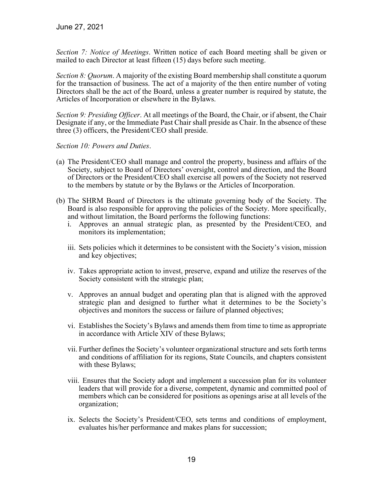*Section 7: Notice of Meetings*. Written notice of each Board meeting shall be given or mailed to each Director at least fifteen (15) days before such meeting.

*Section 8: Quorum*. A majority of the existing Board membership shall constitute a quorum for the transaction of business. The act of a majority of the then entire number of voting Directors shall be the act of the Board, unless a greater number is required by statute, the Articles of Incorporation or elsewhere in the Bylaws.

*Section 9: Presiding Officer*. At all meetings of the Board, the Chair, or if absent, the Chair Designate if any, or the Immediate Past Chair shall preside as Chair. In the absence of these three (3) officers, the President/CEO shall preside.

*Section 10: Powers and Duties*.

- (a) The President/CEO shall manage and control the property, business and affairs of the Society, subject to Board of Directors' oversight, control and direction, and the Board of Directors or the President/CEO shall exercise all powers of the Society not reserved to the members by statute or by the Bylaws or the Articles of Incorporation.
- (b) The SHRM Board of Directors is the ultimate governing body of the Society. The Board is also responsible for approving the policies of the Society. More specifically, and without limitation, the Board performs the following functions:
	- i. Approves an annual strategic plan, as presented by the President/CEO, and monitors its implementation;
	- iii. Sets policies which it determines to be consistent with the Society's vision, mission and key objectives;
	- iv. Takes appropriate action to invest, preserve, expand and utilize the reserves of the Society consistent with the strategic plan;
	- v. Approves an annual budget and operating plan that is aligned with the approved strategic plan and designed to further what it determines to be the Society's objectives and monitors the success or failure of planned objectives;
	- vi. Establishes the Society's Bylaws and amends them from time to time as appropriate in accordance with Article XIV of these Bylaws;
	- vii. Further defines the Society's volunteer organizational structure and sets forth terms and conditions of affiliation for its regions, State Councils, and chapters consistent with these Bylaws;
	- viii. Ensures that the Society adopt and implement a succession plan for its volunteer leaders that will provide for a diverse, competent, dynamic and committed pool of members which can be considered for positions as openings arise at all levels of the organization;
	- ix. Selects the Society's President/CEO, sets terms and conditions of employment, evaluates his/her performance and makes plans for succession;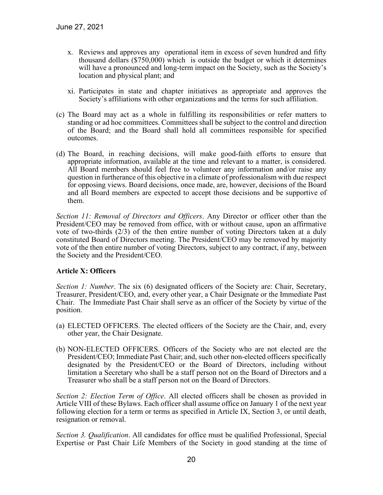- x. Reviews and approves any operational item in excess of seven hundred and fifty thousand dollars (\$750,000) which is outside the budget or which it determines will have a pronounced and long-term impact on the Society, such as the Society's location and physical plant; and
- xi. Participates in state and chapter initiatives as appropriate and approves the Society's affiliations with other organizations and the terms for such affiliation.
- (c) The Board may act as a whole in fulfilling its responsibilities or refer matters to standing or ad hoc committees. Committees shall be subject to the control and direction of the Board; and the Board shall hold all committees responsible for specified outcomes.
- (d) The Board, in reaching decisions, will make good-faith efforts to ensure that appropriate information, available at the time and relevant to a matter, is considered. All Board members should feel free to volunteer any information and/or raise any question in furtherance of this objective in a climate of professionalism with due respect for opposing views. Board decisions, once made, are, however, decisions of the Board and all Board members are expected to accept those decisions and be supportive of them.

*Section 11: Removal of Directors and Officers*. Any Director or officer other than the President/CEO may be removed from office, with or without cause, upon an affirmative vote of two-thirds (2/3) of the then entire number of voting Directors taken at a duly constituted Board of Directors meeting. The President/CEO may be removed by majority vote of the then entire number of voting Directors, subject to any contract, if any, between the Society and the President/CEO.

# **Article X: Officers**

*Section 1: Number*. The six (6) designated officers of the Society are: Chair, Secretary, Treasurer, President/CEO, and, every other year, a Chair Designate or the Immediate Past Chair. The Immediate Past Chair shall serve as an officer of the Society by virtue of the position.

- (a) ELECTED OFFICERS. The elected officers of the Society are the Chair, and, every other year, the Chair Designate.
- (b) NON-ELECTED OFFICERS. Officers of the Society who are not elected are the President/CEO; Immediate Past Chair; and, such other non-elected officers specifically designated by the President/CEO or the Board of Directors, including without limitation a Secretary who shall be a staff person not on the Board of Directors and a Treasurer who shall be a staff person not on the Board of Directors.

*Section 2: Election Term of Office*. All elected officers shall be chosen as provided in Article VIII of these Bylaws. Each officer shall assume office on January 1 of the next year following election for a term or terms as specified in Article IX, Section 3, or until death, resignation or removal.

*Section 3. Qualification*. All candidates for office must be qualified Professional, Special Expertise or Past Chair Life Members of the Society in good standing at the time of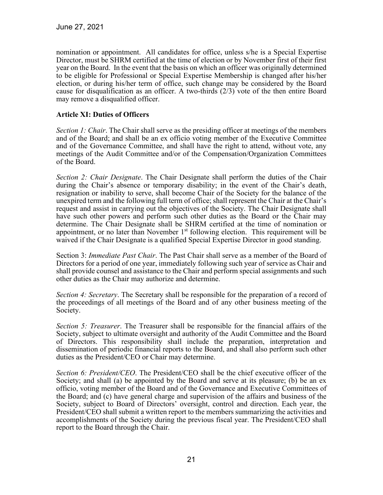nomination or appointment. All candidates for office, unless s/he is a Special Expertise Director, must be SHRM certified at the time of election or by November first of their first year on the Board. In the event that the basis on which an officer was originally determined to be eligible for Professional or Special Expertise Membership is changed after his/her election, or during his/her term of office, such change may be considered by the Board cause for disqualification as an officer. A two-thirds  $(2/3)$  vote of the then entire Board may remove a disqualified officer.

## **Article XI: Duties of Officers**

*Section 1: Chair.* The Chair shall serve as the presiding officer at meetings of the members and of the Board; and shall be an ex officio voting member of the Executive Committee and of the Governance Committee, and shall have the right to attend, without vote, any meetings of the Audit Committee and/or of the Compensation/Organization Committees of the Board.

*Section 2: Chair Designate*. The Chair Designate shall perform the duties of the Chair during the Chair's absence or temporary disability; in the event of the Chair's death, resignation or inability to serve, shall become Chair of the Society for the balance of the unexpired term and the following full term of office; shall represent the Chair at the Chair's request and assist in carrying out the objectives of the Society. The Chair Designate shall have such other powers and perform such other duties as the Board or the Chair may determine. The Chair Designate shall be SHRM certified at the time of nomination or appointment, or no later than November  $1<sup>st</sup>$  following election. This requirement will be waived if the Chair Designate is a qualified Special Expertise Director in good standing.

Section 3: *Immediate Past Chair*. The Past Chair shall serve as a member of the Board of Directors for a period of one year, immediately following such year of service as Chair and shall provide counsel and assistance to the Chair and perform special assignments and such other duties as the Chair may authorize and determine.

*Section 4: Secretary*. The Secretary shall be responsible for the preparation of a record of the proceedings of all meetings of the Board and of any other business meeting of the Society.

*Section 5: Treasurer*. The Treasurer shall be responsible for the financial affairs of the Society, subject to ultimate oversight and authority of the Audit Committee and the Board of Directors. This responsibility shall include the preparation, interpretation and dissemination of periodic financial reports to the Board, and shall also perform such other duties as the President/CEO or Chair may determine.

*Section 6: President/CEO*. The President/CEO shall be the chief executive officer of the Society; and shall (a) be appointed by the Board and serve at its pleasure; (b) be an ex officio, voting member of the Board and of the Governance and Executive Committees of the Board; and (c) have general charge and supervision of the affairs and business of the Society, subject to Board of Directors' oversight, control and direction. Each year, the President/CEO shall submit a written report to the members summarizing the activities and accomplishments of the Society during the previous fiscal year. The President/CEO shall report to the Board through the Chair.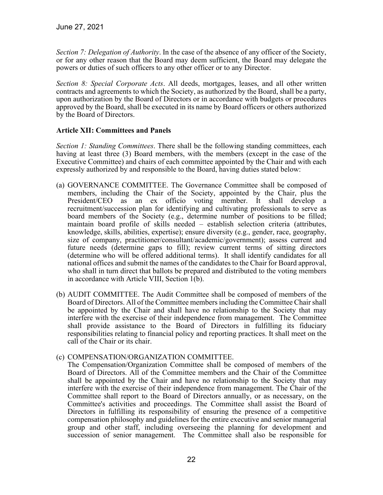*Section 7: Delegation of Authority*. In the case of the absence of any officer of the Society, or for any other reason that the Board may deem sufficient, the Board may delegate the powers or duties of such officers to any other officer or to any Director.

*Section 8: Special Corporate Acts*. All deeds, mortgages, leases, and all other written contracts and agreements to which the Society, as authorized by the Board, shall be a party, upon authorization by the Board of Directors or in accordance with budgets or procedures approved by the Board, shall be executed in its name by Board officers or others authorized by the Board of Directors.

## **Article XII: Committees and Panels**

*Section 1: Standing Committees*. There shall be the following standing committees, each having at least three (3) Board members, with the members (except in the case of the Executive Committee) and chairs of each committee appointed by the Chair and with each expressly authorized by and responsible to the Board, having duties stated below:

- (a) GOVERNANCE COMMITTEE. The Governance Committee shall be composed of members, including the Chair of the Society, appointed by the Chair, plus the President/CEO as an ex officio voting member. It shall develop a recruitment/succession plan for identifying and cultivating professionals to serve as board members of the Society (e.g., determine number of positions to be filled; maintain board profile of skills needed – establish selection criteria (attributes, knowledge, skills, abilities, expertise); ensure diversity (e.g., gender, race, geography, size of company, practitioner/consultant/academic/government); assess current and future needs (determine gaps to fill); review current terms of sitting directors (determine who will be offered additional terms). It shall identify candidates for all national offices and submit the names of the candidates to the Chair for Board approval, who shall in turn direct that ballots be prepared and distributed to the voting members in accordance with Article VIII, Section 1(b).
- (b) AUDIT COMMITTEE. The Audit Committee shall be composed of members of the Board of Directors. All of the Committee members including the Committee Chair shall be appointed by the Chair and shall have no relationship to the Society that may interfere with the exercise of their independence from management. The Committee shall provide assistance to the Board of Directors in fulfilling its fiduciary responsibilities relating to financial policy and reporting practices. It shall meet on the call of the Chair or its chair.

## (c) COMPENSATION/ORGANIZATION COMMITTEE.

The Compensation/Organization Committee shall be composed of members of the Board of Directors. All of the Committee members and the Chair of the Committee shall be appointed by the Chair and have no relationship to the Society that may interfere with the exercise of their independence from management. The Chair of the Committee shall report to the Board of Directors annually, or as necessary, on the Committee's activities and proceedings. The Committee shall assist the Board of Directors in fulfilling its responsibility of ensuring the presence of a competitive compensation philosophy and guidelines for the entire executive and senior managerial group and other staff, including overseeing the planning for development and succession of senior management. The Committee shall also be responsible for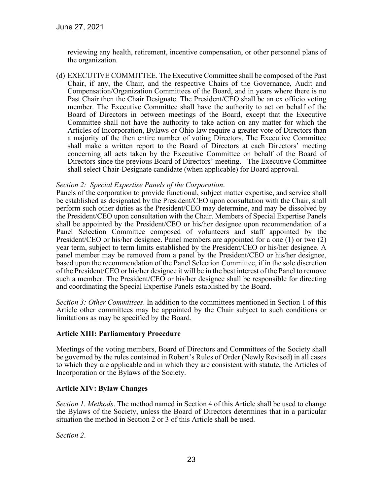reviewing any health, retirement, incentive compensation, or other personnel plans of the organization.

(d) EXECUTIVE COMMITTEE. The Executive Committee shall be composed of the Past Chair, if any, the Chair, and the respective Chairs of the Governance, Audit and Compensation/Organization Committees of the Board, and in years where there is no Past Chair then the Chair Designate. The President/CEO shall be an ex officio voting member. The Executive Committee shall have the authority to act on behalf of the Board of Directors in between meetings of the Board, except that the Executive Committee shall not have the authority to take action on any matter for which the Articles of Incorporation, Bylaws or Ohio law require a greater vote of Directors than a majority of the then entire number of voting Directors. The Executive Committee shall make a written report to the Board of Directors at each Directors' meeting concerning all acts taken by the Executive Committee on behalf of the Board of Directors since the previous Board of Directors' meeting. The Executive Committee shall select Chair-Designate candidate (when applicable) for Board approval.

#### *Section 2: Special Expertise Panels of the Corporation*.

Panels of the corporation to provide functional, subject matter expertise, and service shall be established as designated by the President/CEO upon consultation with the Chair, shall perform such other duties as the President/CEO may determine, and may be dissolved by the President/CEO upon consultation with the Chair. Members of Special Expertise Panels shall be appointed by the President/CEO or his/her designee upon recommendation of a Panel Selection Committee composed of volunteers and staff appointed by the President/CEO or his/her designee. Panel members are appointed for a one (1) or two (2) year term, subject to term limits established by the President/CEO or his/her designee. A panel member may be removed from a panel by the President/CEO or his/her designee, based upon the recommendation of the Panel Selection Committee, if in the sole discretion of the President/CEO or his/her designee it will be in the best interest of the Panel to remove such a member. The President/CEO or his/her designee shall be responsible for directing and coordinating the Special Expertise Panels established by the Board.

*Section 3: Other Committees*. In addition to the committees mentioned in Section 1 of this Article other committees may be appointed by the Chair subject to such conditions or limitations as may be specified by the Board.

#### **Article XIII: Parliamentary Procedure**

Meetings of the voting members, Board of Directors and Committees of the Society shall be governed by the rules contained in Robert's Rules of Order (Newly Revised) in all cases to which they are applicable and in which they are consistent with statute, the Articles of Incorporation or the Bylaws of the Society.

## **Article XIV: Bylaw Changes**

*Section 1. Methods*. The method named in Section 4 of this Article shall be used to change the Bylaws of the Society, unless the Board of Directors determines that in a particular situation the method in Section 2 or 3 of this Article shall be used.

*Section 2*.